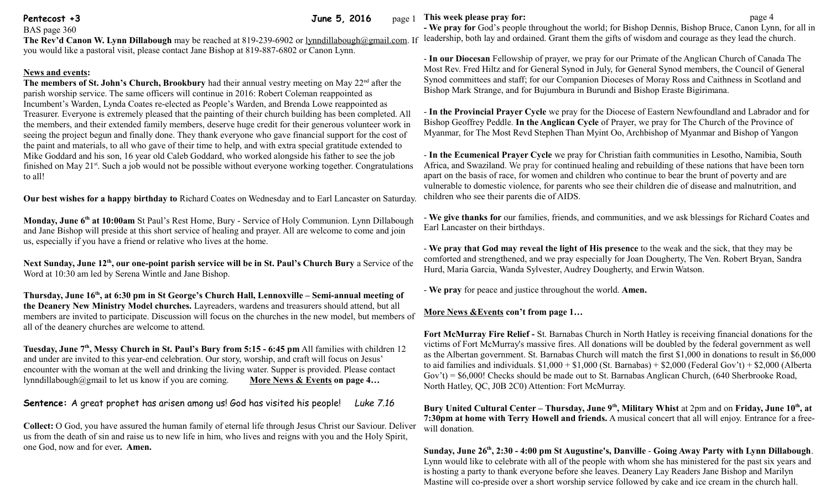**Pentecost +3** June 5, 2016 page 1

BAS page 360 The Rev'd Canon W. Lynn Dillabough may be reached at 819-239-6902 or [lynndillabough@gmail.com.](mailto:lynndillabough@gmail.com) If leadership, both lay and ordained. Grant them the gifts of wisdom and courage as they lead the church. you would like a pastoral visit, please contact Jane Bishop at 819-887-6802 or Canon Lynn.

## **News and events:**

**The members of St. John's Church, Brookbury** had their annual vestry meeting on May 22<sup>nd</sup> after the parish worship service. The same officers will continue in 2016: Robert Coleman reappointed as Incumbent's Warden, Lynda Coates re-elected as People's Warden, and Brenda Lowe reappointed as Treasurer. Everyone is extremely pleased that the painting of their church building has been completed. All the members, and their extended family members, deserve huge credit for their generous volunteer work in seeing the project begun and finally done. They thank everyone who gave financial support for the cost of the paint and materials, to all who gave of their time to help, and with extra special gratitude extended to Mike Goddard and his son, 16 year old Caleb Goddard, who worked alongside his father to see the job finished on May 21<sup>st</sup>. Such a job would not be possible without everyone working together. Congratulations to all!

**Our best wishes for a happy birthday to** Richard Coates on Wednesday and to Earl Lancaster on Saturday.

**Monday, June 6th at 10:00am** St Paul's Rest Home, Bury - Service of Holy Communion. Lynn Dillabough and Jane Bishop will preside at this short service of healing and prayer. All are welcome to come and join us, especially if you have a friend or relative who lives at the home.

Next Sunday, June 12<sup>th</sup>, our one-point parish service will be in St. Paul's Church Bury a Service of the Word at 10:30 am led by Serena Wintle and Jane Bishop.

**Thursday, June 16th, at 6:30 pm in St George's Church Hall, Lennoxville – Semi-annual meeting of the Deanery New Ministry Model churches.** Layreaders, wardens and treasurers should attend, but all members are invited to participate. Discussion will focus on the churches in the new model, but members of all of the deanery churches are welcome to attend.

**Tuesday, June 7th , Messy Church in St. Paul's Bury from 5:15 - 6:45 pm** All families with children 12 and under are invited to this year-end celebration. Our story, worship, and craft will focus on Jesus' encounter with the woman at the well and drinking the living water. Supper is provided. Please contact lynndillabough@gmail to let us know if you are coming. **More News & Events on page 4…**

**Sentence:** A great prophet has arisen among us! God has visited his people! *Luke 7.16*

**Collect:** O God, you have assured the human family of eternal life through Jesus Christ our Saviour. Deliver us from the death of sin and raise us to new life in him, who lives and reigns with you and the Holy Spirit, one God, now and for ever**. Amen.**

**This week please pray for: page 4 page 4 page 4 page 4 page 4 page 4 page 4** 

**- We pray for** God's people throughout the world; for Bishop Dennis, Bishop Bruce, Canon Lynn, for all in

- **In our Diocesan** Fellowship of prayer, we pray for our Primate of the Anglican Church of Canada The Most Rev. Fred Hiltz and for General Synod in July, for General Synod members, the Council of General Synod committees and staff; for our Companion Dioceses of Moray Ross and Caithness in Scotland and Bishop Mark Strange, and for Bujumbura in Burundi and Bishop Eraste Bigirimana.

- **In the Provincial Prayer Cycle** we pray for the Diocese of Eastern Newfoundland and Labrador and for Bishop Geoffrey Peddle. **In the Anglican Cycle** of Prayer, we pray for The Church of the Province of Myanmar, for The Most Revd Stephen Than Myint Oo, Archbishop of Myanmar and Bishop of Yangon

- **In the Ecumenical Prayer Cycle** we pray for Christian faith communities in Lesotho, Namibia, South Africa, and Swaziland. We pray for continued healing and rebuilding of these nations that have been torn apart on the basis of race, for women and children who continue to bear the brunt of poverty and are vulnerable to domestic violence, for parents who see their children die of disease and malnutrition, and children who see their parents die of AIDS.

- **We give thanks for** our families, friends, and communities, and we ask blessings for Richard Coates and Earl Lancaster on their birthdays.

- **We pray that God may reveal the light of His presence** to the weak and the sick, that they may be comforted and strengthened, and we pray especially for Joan Dougherty, The Ven. Robert Bryan, Sandra Hurd, Maria Garcia, Wanda Sylvester, Audrey Dougherty, and Erwin Watson.

- **We pray** for peace and justice throughout the world. **Amen.**

## **More News &Events con't from page 1…**

**Fort McMurray Fire Relief -** St. Barnabas Church in North Hatley is receiving financial donations for the victims of Fort McMurray's massive fires. All donations will be doubled by the federal government as well as the Albertan government. St. Barnabas Church will match the first \$1,000 in donations to result in \$6,000 to aid families and individuals.  $$1,000 + $1,000$  (St. Barnabas) +  $$2,000$  (Federal Gov't) +  $$2,000$  (Alberta Gov't) = \$6,000! Checks should be made out to St. Barnabas Anglican Church, (640 Sherbrooke Road, North Hatley, QC, J0B 2C0) Attention: Fort McMurray.

**Bury United Cultural Center – Thursday, June 9th, Military Whist** at 2pm and on **Friday, June 10th, at 7:30pm at home with Terry Howell and friends.** A musical concert that all will enjoy. Entrance for a freewill donation.

**Sunday, June 26th, 2:30 - 4:00 pm St Augustine's, Danville** - **Going Away Party with Lynn Dillabough**. Lynn would like to celebrate with all of the people with whom she has ministered for the past six years and is hosting a party to thank everyone before she leaves. Deanery Lay Readers Jane Bishop and Marilyn Mastine will co-preside over a short worship service followed by cake and ice cream in the church hall.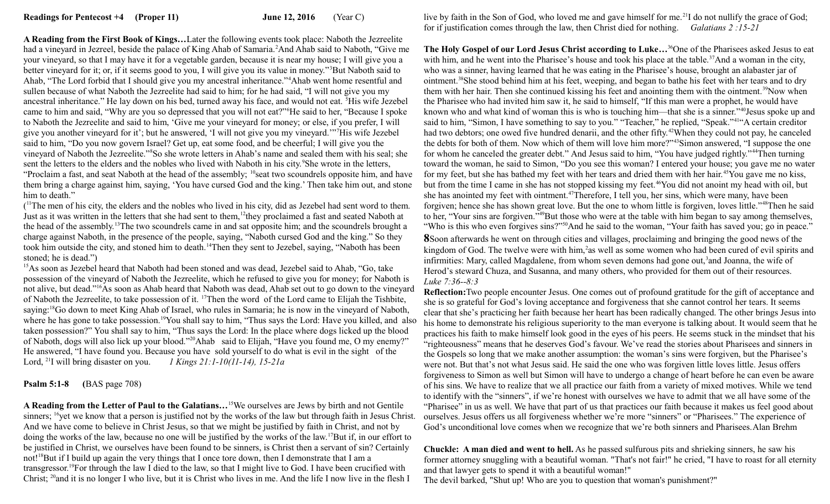**A Reading from the First Book of Kings…**Later the following events took place: Naboth the Jezreelite had a vineyard in Jezreel, beside the palace of King Ahab of Samaria.<sup>2</sup>And Ahab said to Naboth, "Give me your vineyard, so that I may have it for a vegetable garden, because it is near my house; I will give you a better vineyard for it; or, if it seems good to you, I will give you its value in money."<sup>3</sup>But Naboth said to Ahab, "The Lord forbid that I should give you my ancestral inheritance."<sup>4</sup>Ahab went home resentful and sullen because of what Naboth the Jezreelite had said to him; for he had said, "I will not give you my ancestral inheritance." He lay down on his bed, turned away his face, and would not eat. <sup>5</sup>His wife Jezebel came to him and said, "Why are you so depressed that you will not eat?"<sup>6</sup>He said to her, "Because I spoke to Naboth the Jezreelite and said to him, 'Give me your vineyard for money; or else, if you prefer, I will give you another vineyard for it'; but he answered, 'I will not give you my vineyard.'"<sup>7</sup>His wife Jezebel said to him, "Do you now govern Israel? Get up, eat some food, and be cheerful; I will give you the vineyard of Naboth the Jezreelite."<sup>8</sup>So she wrote letters in Ahab's name and sealed them with his seal; she sent the letters to the elders and the nobles who lived with Naboth in his city.<sup>9</sup>She wrote in the letters, "Proclaim a fast, and seat Naboth at the head of the assembly; <sup>10</sup>seat two scoundrels opposite him, and have them bring a charge against him, saying, 'You have cursed God and the king.' Then take him out, and stone him to death."

 $($ <sup>11</sup>The men of his city, the elders and the nobles who lived in his city, did as Jezebel had sent word to them. Just as it was written in the letters that she had sent to them,<sup>12</sup>they proclaimed a fast and seated Naboth at the head of the assembly.<sup>13</sup>The two scoundrels came in and sat opposite him; and the scoundrels brought a charge against Naboth, in the presence of the people, saying, "Naboth cursed God and the king." So they took him outside the city, and stoned him to death.<sup>14</sup>Then they sent to Jezebel, saying, "Naboth has been stoned; he is dead.")

<sup>15</sup>As soon as Jezebel heard that Naboth had been stoned and was dead, Jezebel said to Ahab, "Go, take possession of the vineyard of Naboth the Jezreelite, which he refused to give you for money; for Naboth is not alive, but dead."<sup>16</sup>As soon as Ahab heard that Naboth was dead, Ahab set out to go down to the vineyard of Naboth the Jezreelite, to take possession of it. <sup>17</sup>Then the word of the Lord came to Elijah the Tishbite, saying:<sup>18</sup>Go down to meet King Ahab of Israel, who rules in Samaria; he is now in the vineyard of Naboth, where he has gone to take possession.<sup>19</sup>You shall say to him, "Thus says the Lord: Have you killed, and also taken possession?" You shall say to him, "Thus says the Lord: In the place where dogs licked up the blood of Naboth, dogs will also lick up your blood."<sup>20</sup>Ahab said to Elijah, "Have you found me, O my enemy?" He answered, "I have found you. Because you have sold yourself to do what is evil in the sight of the Lord, <sup>21</sup>I will bring disaster on you. *1 Kings 21:1-10(11-14), 15-21a* 

## **Psalm 5:1-8 (**BAS page 708)

**A Reading from the Letter of Paul to the Galatians…**<sup>15</sup>We ourselves are Jews by birth and not Gentile sinners; <sup>16</sup>yet we know that a person is justified not by the works of the law but through faith in Jesus Christ. And we have come to believe in Christ Jesus, so that we might be justified by faith in Christ, and not by doing the works of the law, because no one will be justified by the works of the law.<sup>17</sup>But if, in our effort to be justified in Christ, we ourselves have been found to be sinners, is Christ then a servant of sin? Certainly not!<sup>18</sup>But if I build up again the very things that I once tore down, then I demonstrate that I am a transgressor.<sup>19</sup>For through the law I died to the law, so that I might live to God. I have been crucified with Christ; <sup>20</sup>and it is no longer I who live, but it is Christ who lives in me. And the life I now live in the flesh I

live by faith in the Son of God, who loved me and gave himself for me.<sup>21</sup>I do not nullify the grace of God; for if justification comes through the law, then Christ died for nothing. *Galatians 2 :15-21*

**The Holy Gospel of our Lord Jesus Christ according to Luke…**<sup>36</sup>One of the Pharisees asked Jesus to eat with him, and he went into the Pharisee's house and took his place at the table.<sup>37</sup>And a woman in the city, who was a sinner, having learned that he was eating in the Pharisee's house, brought an alabaster jar of ointment.<sup>38</sup>She stood behind him at his feet, weeping, and began to bathe his feet with her tears and to dry them with her hair. Then she continued kissing his feet and anointing them with the ointment.<sup>39</sup>Now when the Pharisee who had invited him saw it, he said to himself, "If this man were a prophet, he would have known who and what kind of woman this is who is touching him—that she is a sinner."<sup>40</sup>Jesus spoke up and said to him, "Simon, I have something to say to you." "Teacher," he replied, "Speak."<sup>41</sup>"A certain creditor had two debtors; one owed five hundred denarii, and the other fifty.<sup>42</sup>When they could not pay, he canceled the debts for both of them. Now which of them will love him more?"<sup>43</sup>Simon answered, "I suppose the one for whom he canceled the greater debt." And Jesus said to him, "You have judged rightly."<sup>44</sup>Then turning toward the woman, he said to Simon, "Do you see this woman? I entered your house; you gave me no water for my feet, but she has bathed my feet with her tears and dried them with her hair.<sup>45</sup>You gave me no kiss, but from the time I came in she has not stopped kissing my feet.<sup>46</sup>You did not anoint my head with oil, but she has anointed my feet with ointment.<sup>47</sup>Therefore, I tell you, her sins, which were many, have been forgiven; hence she has shown great love. But the one to whom little is forgiven, loves little."<sup>48</sup>Then he said to her, "Your sins are forgiven."<sup>49</sup>But those who were at the table with him began to say among themselves, "Who is this who even forgives sins?"<sup>50</sup>And he said to the woman, "Your faith has saved you; go in peace."

**8**Soon afterwards he went on through cities and villages, proclaiming and bringing the good news of the kingdom of God. The twelve were with him,<sup>2</sup>as well as some women who had been cured of evil spirits and infirmities: Mary, called Magdalene, from whom seven demons had gone out,<sup>3</sup> and Joanna, the wife of Herod's steward Chuza, and Susanna, and many others, who provided for them out of their resources. *Luke 7:36--8:3*

**Reflection:**Two people encounter Jesus. One comes out of profound gratitude for the gift of acceptance and she is so grateful for God's loving acceptance and forgiveness that she cannot control her tears. It seems clear that she's practicing her faith because her heart has been radically changed. The other brings Jesus into his home to demonstrate his religious superiority to the man everyone is talking about. It would seem that he practices his faith to make himself look good in the eyes of his peers. He seems stuck in the mindset that his "righteousness" means that he deserves God's favour. We've read the stories about Pharisees and sinners in the Gospels so long that we make another assumption: the woman's sins were forgiven, but the Pharisee's were not. But that's not what Jesus said. He said the one who was forgiven little loves little. Jesus offers forgiveness to Simon as well but Simon will have to undergo a change of heart before he can even be aware of his sins. We have to realize that we all practice our faith from a variety of mixed motives. While we tend to identify with the "sinners", if we're honest with ourselves we have to admit that we all have some of the "Pharisee" in us as well. We have that part of us that practices our faith because it makes us feel good about ourselves. Jesus offers us all forgiveness whether we're more "sinners" or "Pharisees." The experience of God's unconditional love comes when we recognize that we're both sinners and Pharisees.Alan Brehm

**Chuckle: A man died and went to hell.** As he passed sulfurous pits and shrieking sinners, he saw his former attorney snuggling with a beautiful woman. "That's not fair!" he cried, "I have to roast for all eternity and that lawyer gets to spend it with a beautiful woman!"

The devil barked, "Shut up! Who are you to question that woman's punishment?"